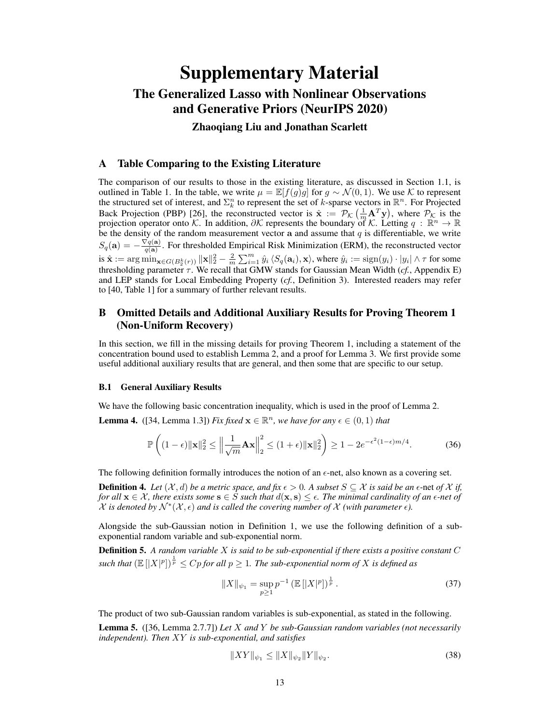# Supplementary Material The Generalized Lasso with Nonlinear Observations and Generative Priors (NeurIPS 2020)

Zhaoqiang Liu and Jonathan Scarlett

# A Table Comparing to the Existing Literature

The comparison of our results to those in the existing literature, as discussed in Section [1.1,](#page--1-0) is outlined in Table [1.](#page-1-0) In the table, we write  $\mu = \mathbb{E}[f(q)q]$  for  $q \sim \mathcal{N}(0, 1)$ . We use K to represent the structured set of interest, and  $\Sigma_k^n$  to represent the set of k-sparse vectors in  $\mathbb{R}^n$ . For Projected Back Projection (PBP) [\[26\]](#page--1-1), the reconstructed vector is  $\hat{\mathbf{x}} := \mathcal{P}_{\mathcal{K}}\left(\frac{1}{m}\mathbf{A}^T\mathbf{y}\right)$ , where  $\mathcal{P}_{\mathcal{K}}$  is the projection operator onto K. In addition,  $\partial K$  represents the boundary of K. Letting  $q : \mathbb{R}^n \to \mathbb{R}$ be the density of the random measurement vector a and assume that  $q$  is differentiable, we write  $S_q(\mathbf{a}) = -\frac{\nabla q(\mathbf{a})}{q(\mathbf{a})}$  $\frac{q(\mathbf{a})}{q(\mathbf{a})}$ . For thresholded Empirical Risk Minimization (ERM), the reconstructed vector is  $\hat{\mathbf{x}} := \arg \min_{\mathbf{x} \in G(B_2^k(r))} \|\mathbf{x}\|_2^2 - \frac{2}{m} \sum_{i=1}^m \hat{y}_i \langle S_q(\mathbf{a}_i), \mathbf{x} \rangle$ , where  $\hat{y}_i := \text{sign}(y_i) \cdot |y_i| \wedge \tau$  for some thresholding parameter  $\tau$ . We recall that GMW stands for Gaussian Mean Width (*cf.*, Appendix [E\)](#page-8-0) and LEP stands for Local Embedding Property (*cf.*, Definition [3\)](#page--1-2). Interested readers may refer to [\[40,](#page--1-3) Table 1] for a summary of further relevant results.

# B Omitted Details and Additional Auxiliary Results for Proving Theorem [1](#page--1-4) (Non-Uniform Recovery)

In this section, we fill in the missing details for proving Theorem [1,](#page--1-4) including a statement of the concentration bound used to establish Lemma [2,](#page--1-5) and a proof for Lemma [3.](#page--1-6) We first provide some useful additional auxiliary results that are general, and then some that are specific to our setup.

### B.1 General Auxiliary Results

We have the following basic concentration inequality, which is used in the proof of Lemma [2.](#page--1-5)

**Lemma 4.** ([\[34,](#page--1-7) Lemma 1.3]) *Fix fixed*  $\mathbf{x} \in \mathbb{R}^n$ *, we have for any*  $\epsilon \in (0,1)$  *that* 

$$
\mathbb{P}\left((1-\epsilon)\|\mathbf{x}\|_2^2 \le \left\|\frac{1}{\sqrt{m}}\mathbf{A}\mathbf{x}\right\|_2^2 \le (1+\epsilon)\|\mathbf{x}\|_2^2\right) \ge 1 - 2e^{-\epsilon^2(1-\epsilon)m/4}.\tag{36}
$$

The following definition formally introduces the notion of an  $\epsilon$ -net, also known as a covering set.

**Definition 4.** Let  $(X, d)$  be a metric space, and fix  $\epsilon > 0$ . A subset  $S \subseteq \mathcal{X}$  is said be an  $\epsilon$ -net of  $\mathcal{X}$  if, *for all*  $\mathbf{x} \in \mathcal{X}$ *, there exists some*  $\mathbf{s} \in S$  *such that*  $d(\mathbf{x}, \mathbf{s}) \leq \epsilon$ *. The minimal cardinality of an*  $\epsilon$ -net of  $\mathcal X$  is denoted by  $\mathcal N^*(\mathcal X,\epsilon)$  and is called the covering number of  $\mathcal X$  (with parameter  $\epsilon$ ).

Alongside the sub-Gaussian notion in Definition [1,](#page--1-8) we use the following definition of a subexponential random variable and sub-exponential norm.

Definition 5. *A random variable* X *is said to be sub-exponential if there exists a positive constant* C such that  $(\mathbb{E} \left[ |X|^p| \right)^{\frac{1}{p}} \leq Cp$  for all  $p \geq 1$ . The sub-exponential norm of X is defined as

$$
||X||_{\psi_1} = \sup_{p \ge 1} p^{-1} \left( \mathbb{E} \left[ |X|^p \right] \right)^{\frac{1}{p}}.
$$
 (37)

The product of two sub-Gaussian random variables is sub-exponential, as stated in the following.

<span id="page-0-0"></span>Lemma 5. ([\[36,](#page--1-9) Lemma 2.7.7]) *Let* X *and* Y *be sub-Gaussian random variables (not necessarily independent). Then* XY *is sub-exponential, and satisfies*

$$
||XY||_{\psi_1} \le ||X||_{\psi_2} ||Y||_{\psi_2}.
$$
\n(38)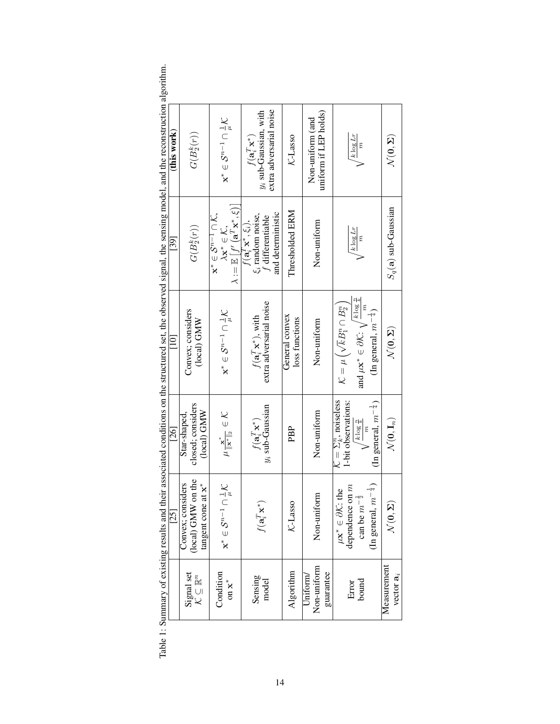|        | ו<br>ו | neto1<br>5      | Nanone on the stringing of the new property<br> | cancing model and the n<br>:<br>$\sim$ of $\sim$ of $\sim$<br> <br> <br> | <b>EXPLANATION</b><br>; | Į |
|--------|--------|-----------------|-------------------------------------------------|--------------------------------------------------------------------------|-------------------------|---|
|        | ì<br>ì | l<br>)<br>Ì     | ١<br>l                                          | Ó<br>Ï<br>d<br>١                                                         |                         |   |
| こうこうこう | i      | こくさん こうしょう<br>į | こうり じっしょうしゃ こうしこうしゃ                             |                                                                          |                         |   |

| $[10]$<br>[26]<br>$[25]$                                                                                                                                                                                                                                                                                                                                                                                                                                                        |
|---------------------------------------------------------------------------------------------------------------------------------------------------------------------------------------------------------------------------------------------------------------------------------------------------------------------------------------------------------------------------------------------------------------------------------------------------------------------------------|
| Convex; considers<br>(local) GMW<br>closed; considers<br>(local) GMW<br>Star-shaped.<br>(local) GMW on the<br>isiders<br>tangent cone at $x^*$<br>Convex; con                                                                                                                                                                                                                                                                                                                   |
| $\mathbf{x}^* \in \mathcal{S}^{n-1} \cap \frac{1}{\mu} \mathcal{K}$<br>$\mu \frac{\mathbf{x}^*}{\ \mathbf{x}^*\ _2} \in \mathcal{K}$<br>$\cap \, \overset{1}{\underset{\mu}{\mu}} \mathcal{K}$<br>$\mathbf{x}^* \in \mathcal{S}^{n-1}$                                                                                                                                                                                                                                          |
| extra adversarial noise<br>$f(\mathbf{a}_i^T \mathbf{x}^*)$ , with<br>$y_i$ sub-Gaussian<br>$f(\mathbf{a}_i^T\mathbf{x}^*)$<br>$f(\mathbf{a}_i^T\mathbf{x}^*$                                                                                                                                                                                                                                                                                                                   |
| General convex<br>loss functions<br>PBP<br>K-Lasso                                                                                                                                                                                                                                                                                                                                                                                                                              |
| Non-uniform<br>Non-uniform<br>Non-uniform                                                                                                                                                                                                                                                                                                                                                                                                                                       |
| and $\mu \mathbf{x}^* \in \partial \mathcal{K}: \sqrt{\frac{k \log \frac{n}{k}}{n}}$<br>$\mathcal{K} = \mu\left(\sqrt{k}B_1^n \cap B_2^n\right)$<br>(In general, $m^{-\frac{1}{4}}$ )<br>$\mathcal{K} = \Sigma_k^n$ , noiseless<br>1-bit observations:<br>(In general, $m^{-\frac{1}{4}}$ )<br>$\frac{1}{k}$ log $\frac{n}{k}$<br>(In general, $m^{-\frac{1}{4}}$ )<br>dependence on m<br>$\mu\mathbf{x}^*\in\partial\mathcal{K}\text{: the }$<br>$-1\frac{1}{2}$<br>can be $m$ |
| $\mathcal{N}(\mathbf{0},\mathbf{\Sigma})$<br>$\mathcal{N}(\mathbf{0}, \mathbf{I}_n)$<br>$\mathcal{N}(\mathbf{0},\mathbf{\Sigma})$                                                                                                                                                                                                                                                                                                                                               |

<span id="page-1-0"></span>ithm.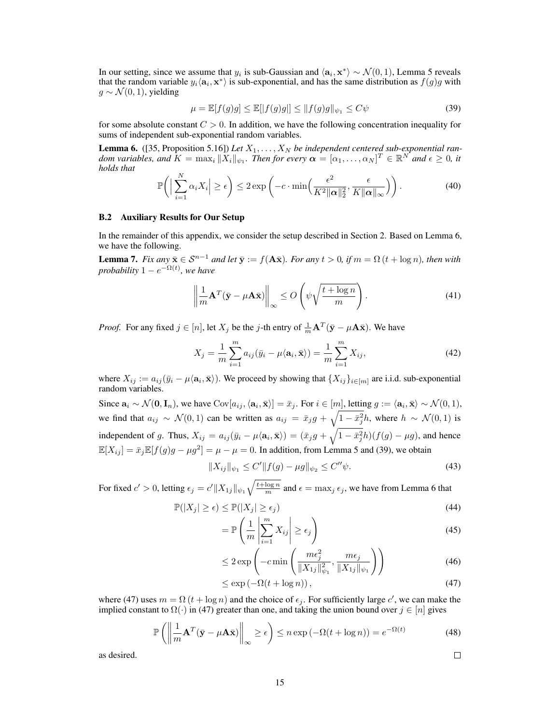In our setting, since we assume that  $y_i$  is sub-Gaussian and  $\langle a_i, x^* \rangle \sim \mathcal{N}(0, 1)$ , Lemma [5](#page-0-0) reveals that the random variable  $y_i \langle a_i, x^* \rangle$  is sub-exponential, and has the same distribution as  $f(g)g$  with  $g \sim \mathcal{N}(0, 1)$ , yielding

<span id="page-2-1"></span>
$$
\mu = \mathbb{E}[f(g)g] \le \mathbb{E}[|f(g)g|] \le ||f(g)g||_{\psi_1} \le C\psi
$$
\n(39)

for some absolute constant  $C > 0$ . In addition, we have the following concentration inequality for sums of independent sub-exponential random variables.

<span id="page-2-0"></span>**Lemma 6.** ([\[35,](#page--1-12) Proposition 5.16]) Let  $X_1, \ldots, X_N$  be independent centered sub-exponential ran*dom variables, and*  $K = \max_i ||\overline{X}_i||_{\psi_1}$ . Then for every  $\boldsymbol{\alpha} = [\alpha_1, \dots, \alpha_N]^T \in \mathbb{R}^{N^*}$  and  $\epsilon \geq 0$ , it *holds that*

$$
\mathbb{P}\bigg(\Big|\sum_{i=1}^N \alpha_i X_i\Big| \ge \epsilon\bigg) \le 2 \exp\left(-c \cdot \min\left(\frac{\epsilon^2}{K^2 \|\alpha\|_2^2}, \frac{\epsilon}{K \|\alpha\|_{\infty}}\right)\right). \tag{40}
$$

#### B.2 Auxiliary Results for Our Setup

In the remainder of this appendix, we consider the setup described in Section [2.](#page--1-13) Based on Lemma [6,](#page-2-0) we have the following.

<span id="page-2-3"></span>**Lemma 7.** *Fix any*  $\bar{\mathbf{x}} \in \mathcal{S}^{n-1}$  *and let*  $\bar{\mathbf{y}} := f(\mathbf{A}\bar{\mathbf{x}})$ *. For any*  $t > 0$ *, if*  $m = \Omega$  ( $t + \log n$ *), then with probability*  $1 - e^{-\Omega(t)}$ , we have

$$
\left\| \frac{1}{m} \mathbf{A}^T (\bar{\mathbf{y}} - \mu \mathbf{A} \bar{\mathbf{x}}) \right\|_{\infty} \le O\left(\psi \sqrt{\frac{t + \log n}{m}}\right). \tag{41}
$$

*Proof.* For any fixed  $j \in [n]$ , let  $X_j$  be the j-th entry of  $\frac{1}{m} \mathbf{A}^T (\bar{\mathbf{y}} - \mu \mathbf{A} \bar{\mathbf{x}})$ . We have

$$
X_j = \frac{1}{m} \sum_{i=1}^m a_{ij} (\bar{y}_i - \mu \langle \mathbf{a}_i, \bar{\mathbf{x}} \rangle) = \frac{1}{m} \sum_{i=1}^m X_{ij}, \tag{42}
$$

where  $X_{ij} := a_{ij}(\bar{y}_i - \mu \langle \mathbf{a}_i, \bar{\mathbf{x}} \rangle)$ . We proceed by showing that  $\{X_{ij}\}_{i \in [m]}$  are i.i.d. sub-exponential random variables.

Since  $\mathbf{a}_i \sim \mathcal{N}(\mathbf{0}, \mathbf{I}_n)$ , we have  $\text{Cov}[a_{ij}, \langle \mathbf{a}_i, \bar{\mathbf{x}} \rangle] = \bar{x}_j$ . For  $i \in [m]$ , letting  $g := \langle \mathbf{a}_i, \bar{\mathbf{x}} \rangle \sim \mathcal{N}(0, 1)$ , we find that  $a_{ij} \sim \mathcal{N}(0,1)$  can be written as  $a_{ij} = \bar{x}_j g + \sqrt{1 - \bar{x}_j^2} h$ , where  $h \sim \mathcal{N}(0,1)$  is independent of g. Thus,  $X_{ij} = a_{ij}(\bar{y}_i - \mu \langle \mathbf{a}_i, \bar{\mathbf{x}} \rangle) = (\bar{x}_j g + \sqrt{1 - \bar{x}_j^2} h)(f(g) - \mu g)$ , and hence  $\mathbb{E}[X_{ij}] = \bar{x}_j \mathbb{E}[f(g)g - \mu g^2] = \mu - \mu = 0$ . In addition, from Lemma [5](#page-0-0) and [\(39\)](#page-2-1), we obtain

$$
||X_{ij}||_{\psi_1} \le C' ||f(g) - \mu g||_{\psi_2} \le C'' \psi.
$$
\n(43)

For fixed  $c' > 0$ , letting  $\epsilon_j = c' \|X_{1j}\|_{\psi_1} \sqrt{\frac{t + \log n}{m}}$  and  $\epsilon = \max_j \epsilon_j$ , we have from Lemma [6](#page-2-0) that

$$
\mathbb{P}(|X_j| \ge \epsilon) \le \mathbb{P}(|X_j| \ge \epsilon_j)
$$
\n(44)

$$
= \mathbb{P}\left(\frac{1}{m}\left|\sum_{i=1}^{m} X_{ij}\right| \ge \epsilon_j\right)
$$
\n(45)

$$
\leq 2 \exp\left(-c \min\left(\frac{m\epsilon_j^2}{\|X_{1j}\|_{\psi_1}^2}, \frac{m\epsilon_j}{\|X_{1j}\|_{\psi_1}}\right)\right) \tag{46}
$$

$$
\leq \exp\left(-\Omega(t + \log n)\right),\tag{47}
$$

where [\(47\)](#page-2-2) uses  $m = \Omega(t + \log n)$  and the choice of  $\epsilon_j$ . For sufficiently large c', we can make the implied constant to  $\Omega(\cdot)$  in [\(47\)](#page-2-2) greater than one, and taking the union bound over  $j \in [n]$  gives

$$
\mathbb{P}\left(\left\|\frac{1}{m}\mathbf{A}^T(\bar{\mathbf{y}} - \mu \mathbf{A}\bar{\mathbf{x}})\right\|_{\infty} \ge \epsilon\right) \le n \exp\left(-\Omega(t + \log n)\right) = e^{-\Omega(t)}\tag{48}
$$

as desired.

<span id="page-2-2"></span>
$$
f_{\rm{max}}
$$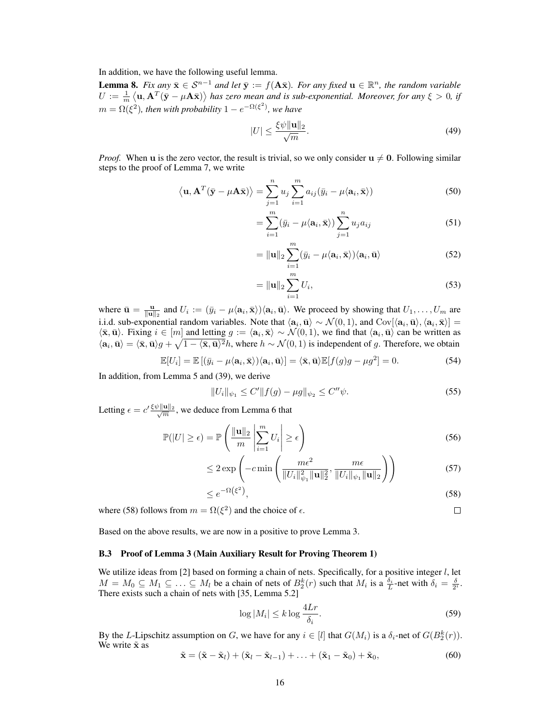In addition, we have the following useful lemma.

<span id="page-3-1"></span>**Lemma 8.** Fix any  $\bar{\mathbf{x}} \in \mathcal{S}^{n-1}$  and let  $\bar{\mathbf{y}} := f(\mathbf{A}\bar{\mathbf{x}})$ . For any fixed  $\mathbf{u} \in \mathbb{R}^n$ , the random variable  $U:=\frac{1}{m}\left\langle \mathbf{u},\mathbf{A}^T(\bar{\mathbf{y}}-\mu\mathbf{A}\bar{\mathbf{x}})\right\rangle$  has zero mean and is sub-exponential. Moreover, for any  $\xi>0$ , if  $m = \Omega(\xi^2)$ , then with probability  $1 - e^{-\Omega(\xi^2)}$ , we have

$$
|U| \le \frac{\xi \psi \|\mathbf{u}\|_2}{\sqrt{m}}.\tag{49}
$$

*Proof.* When u is the zero vector, the result is trivial, so we only consider  $u \neq 0$ . Following similar steps to the proof of Lemma [7,](#page-2-3) we write

$$
\langle \mathbf{u}, \mathbf{A}^T (\bar{\mathbf{y}} - \mu \mathbf{A} \bar{\mathbf{x}}) \rangle = \sum_{j=1}^n u_j \sum_{i=1}^m a_{ij} (\bar{y}_i - \mu \langle \mathbf{a}_i, \bar{\mathbf{x}} \rangle)
$$
(50)

$$
= \sum_{i=1}^{m} (\bar{y}_i - \mu \langle \mathbf{a}_i, \bar{\mathbf{x}} \rangle) \sum_{j=1}^{n} u_j a_{ij}
$$
(51)

$$
= \|\mathbf{u}\|_2 \sum_{i=1}^{m} (\bar{y}_i - \mu \langle \mathbf{a}_i, \bar{\mathbf{x}} \rangle) \langle \mathbf{a}_i, \bar{\mathbf{u}} \rangle \tag{52}
$$

$$
= \|\mathbf{u}\|_2 \sum_{i=1}^{m} U_i,
$$
\n(53)

where  $\bar{\mathbf{u}} = \frac{\mathbf{u}}{\|\mathbf{u}\|_2}$  and  $U_i := (\bar{y}_i - \mu \langle \mathbf{a}_i, \bar{\mathbf{x}} \rangle) \langle \mathbf{a}_i, \bar{\mathbf{u}} \rangle$ . We proceed by showing that  $U_1, \ldots, U_m$  are i.i.d. sub-exponential random variables. Note that  $\langle a_i, \bar{u} \rangle \sim \mathcal{N}(0, 1)$ , and  $Cov[\langle a_i, \bar{u} \rangle, \langle a_i, \bar{x} \rangle] =$  $\langle \bar{\mathbf{x}}, \bar{\mathbf{u}} \rangle$ . Fixing  $i \in [m]$  and letting  $g := \langle \mathbf{a}_i, \bar{\mathbf{x}} \rangle \sim \mathcal{N}(0, 1)$ , we find that  $\langle \mathbf{a}_i, \bar{\mathbf{u}} \rangle$  can be written as  $\langle \mathbf{a}_i, \bar{\mathbf{u}} \rangle = \langle \bar{\mathbf{x}}, \bar{\mathbf{u}} \rangle g + \sqrt{1 - \langle \bar{\mathbf{x}}, \bar{\mathbf{u}} \rangle^2} h$ , where  $h \sim \mathcal{N}(0, 1)$  is independent of g. Therefore, we obtain

$$
\mathbb{E}[U_i] = \mathbb{E}[(\bar{y}_i - \mu \langle \mathbf{a}_i, \bar{\mathbf{x}} \rangle) \langle \mathbf{a}_i, \bar{\mathbf{u}} \rangle] = \langle \bar{\mathbf{x}}, \bar{\mathbf{u}} \rangle \mathbb{E}[f(g)g - \mu g^2] = 0.
$$
 (54)

In addition, from Lemma [5](#page-0-0) and [\(39\)](#page-2-1), we derive

$$
||U_i||_{\psi_1} \le C'||f(g) - \mu g||_{\psi_2} \le C''\psi.
$$
\n(55)

Letting  $\epsilon = c' \frac{\xi \psi ||\mathbf{u}||_2}{\sqrt{m}}$  $\frac{\mathbf{u}_{\parallel 2}}{m}$ , we deduce from Lemma [6](#page-2-0) that

$$
\mathbb{P}(|U| \ge \epsilon) = \mathbb{P}\left(\frac{\|\mathbf{u}\|_2}{m} \left| \sum_{i=1}^{m} U_i \right| \ge \epsilon\right)
$$
\n(56)

$$
\leq 2 \exp\left(-c \min\left(\frac{m\epsilon^2}{\|U_i\|_{\psi_1}^2 \|\mathbf{u}\|_2^2}, \frac{m\epsilon}{\|U_i\|_{\psi_1} \|\mathbf{u}\|_2}\right)\right) \tag{57}
$$

$$
\leq e^{-\Omega(\xi^2)},\tag{58}
$$

<span id="page-3-0"></span> $\Box$ 

where [\(58\)](#page-3-0) follows from  $m = \Omega(\xi^2)$  and the choice of  $\epsilon$ .

Based on the above results, we are now in a positive to prove Lemma [3.](#page--1-6)

#### B.3 Proof of Lemma [3](#page--1-6) (Main Auxiliary Result for Proving Theorem [1\)](#page--1-4)

We utilize ideas from [\[2\]](#page--1-14) based on forming a chain of nets. Specifically, for a positive integer  $l$ , let  $M = M_0 \subseteq M_1 \subseteq \ldots \subseteq M_l$  be a chain of nets of  $B_2^k(r)$  such that  $M_i$  is a  $\frac{\delta_i}{L}$ -net with  $\delta_i = \frac{\delta}{2^i}$ . There exists such a chain of nets with [\[35,](#page--1-12) Lemma 5.2]

<span id="page-3-2"></span>
$$
\log|M_i| \le k \log \frac{4Lr}{\delta_i}.\tag{59}
$$

By the L-Lipschitz assumption on G, we have for any  $i \in [l]$  that  $G(M_i)$  is a  $\delta_i$ -net of  $G(B_2^k(r))$ . We write  $\tilde{\mathbf{x}}$  as

<span id="page-3-3"></span>
$$
\tilde{\mathbf{x}} = (\tilde{\mathbf{x}} - \tilde{\mathbf{x}}_l) + (\tilde{\mathbf{x}}_l - \tilde{\mathbf{x}}_{l-1}) + \ldots + (\tilde{\mathbf{x}}_1 - \tilde{\mathbf{x}}_0) + \tilde{\mathbf{x}}_0,
$$
\n(60)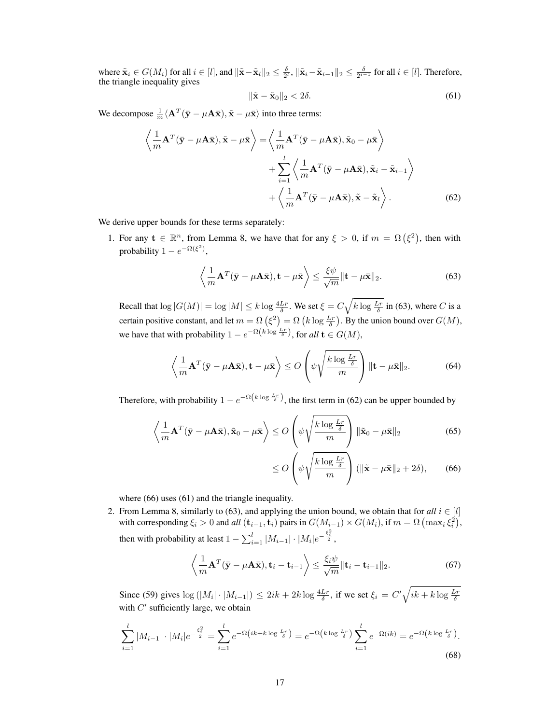where  $\tilde{\mathbf{x}}_i \in G(M_i)$  for all  $i \in [l]$ , and  $\|\tilde{\mathbf{x}} - \tilde{\mathbf{x}}_l\|_2 \le \frac{\delta}{2^l}$ ,  $\|\tilde{\mathbf{x}}_i - \tilde{\mathbf{x}}_{i-1}\|_2 \le \frac{\delta}{2^{i-1}}$  for all  $i \in [l]$ . Therefore, the triangle inequality gives

<span id="page-4-3"></span><span id="page-4-1"></span>
$$
\|\tilde{\mathbf{x}} - \tilde{\mathbf{x}}_0\|_2 < 2\delta. \tag{61}
$$

We decompose  $\frac{1}{m} \langle \mathbf{A}^T (\bar{\mathbf{y}} - \mu \mathbf{A} \bar{\mathbf{x}}), \tilde{\mathbf{x}} - \mu \bar{\mathbf{x}} \rangle$  into three terms:

$$
\left\langle \frac{1}{m} \mathbf{A}^T (\bar{\mathbf{y}} - \mu \mathbf{A} \bar{\mathbf{x}}), \tilde{\mathbf{x}} - \mu \bar{\mathbf{x}} \right\rangle = \left\langle \frac{1}{m} \mathbf{A}^T (\bar{\mathbf{y}} - \mu \mathbf{A} \bar{\mathbf{x}}), \tilde{\mathbf{x}}_0 - \mu \bar{\mathbf{x}} \right\rangle + \sum_{i=1}^l \left\langle \frac{1}{m} \mathbf{A}^T (\bar{\mathbf{y}} - \mu \mathbf{A} \bar{\mathbf{x}}), \tilde{\mathbf{x}}_i - \tilde{\mathbf{x}}_{i-1} \right\rangle + \left\langle \frac{1}{m} \mathbf{A}^T (\bar{\mathbf{y}} - \mu \mathbf{A} \bar{\mathbf{x}}), \tilde{\mathbf{x}} - \tilde{\mathbf{x}}_l \right\rangle.
$$
 (62)

We derive upper bounds for these terms separately:

1. For any  $\mathbf{t} \in \mathbb{R}^n$ , from Lemma [8,](#page-3-1) we have that for any  $\xi > 0$ , if  $m = \Omega(\xi^2)$ , then with probability  $1 - e^{-\Omega(\xi^2)}$ ,

<span id="page-4-0"></span>
$$
\left\langle \frac{1}{m} \mathbf{A}^T (\bar{\mathbf{y}} - \mu \mathbf{A} \bar{\mathbf{x}}), \mathbf{t} - \mu \bar{\mathbf{x}} \right\rangle \le \frac{\xi \psi}{\sqrt{m}} \|\mathbf{t} - \mu \bar{\mathbf{x}}\|_2.
$$
 (63)

Recall that  $\log|G(M)| = \log|M| \le k \log \frac{4Lr}{\delta}$ . We set  $\xi = C\sqrt{k \log \frac{Lr}{\delta}}$  in [\(63\)](#page-4-0), where C is a certain positive constant, and let  $m = \Omega\left(\xi^2\right) = \Omega\left(k \log \frac{L_r}{\delta}\right)$ . By the union bound over  $G(M)$ , we have that with probability  $1 - e^{-\Omega(k \log \frac{L_r}{\delta})}$ , for all  $\mathbf{t} \in G(M)$ ,

$$
\left\langle \frac{1}{m} \mathbf{A}^T (\bar{\mathbf{y}} - \mu \mathbf{A} \bar{\mathbf{x}}), \mathbf{t} - \mu \bar{\mathbf{x}} \right\rangle \le O\left(\psi \sqrt{\frac{k \log \frac{Lr}{\delta}}{m}}\right) \|\mathbf{t} - \mu \bar{\mathbf{x}}\|_2. \tag{64}
$$

Therefore, with probability  $1 - e^{-\Omega(k \log \frac{L_r}{\delta})}$ , the first term in [\(62\)](#page-4-1) can be upper bounded by

$$
\left\langle \frac{1}{m} \mathbf{A}^T (\bar{\mathbf{y}} - \mu \mathbf{A} \bar{\mathbf{x}}), \tilde{\mathbf{x}}_0 - \mu \bar{\mathbf{x}} \right\rangle \le O\left( \psi \sqrt{\frac{k \log \frac{Lr}{\delta}}{m}} \right) \|\tilde{\mathbf{x}}_0 - \mu \bar{\mathbf{x}}\|_2
$$
 (65)

<span id="page-4-2"></span>
$$
\leq O\left(\psi\sqrt{\frac{k\log\frac{Lr}{\delta}}{m}}\right)(\|\tilde{\mathbf{x}}-\mu\bar{\mathbf{x}}\|_2+2\delta),\qquad(66)
$$

where [\(66\)](#page-4-2) uses [\(61\)](#page-4-3) and the triangle inequality.

2. From Lemma [8,](#page-3-1) similarly to [\(63\)](#page-4-0), and applying the union bound, we obtain that for *all*  $i \in [l]$ with corresponding  $\xi_i > 0$  and  $all$   $(\mathbf{t}_{i-1}, \mathbf{t}_i)$  pairs in  $G(M_{i-1}) \times G(M_i)$ , if  $m = \Omega \left( \max_i \xi_i^2 \right)$ , then with probability at least  $1 - \sum_{i=1}^{l} |M_{i-1}| \cdot |M_i| e^{-\frac{\xi_i^2}{2}}$ ,

$$
\left\langle \frac{1}{m} \mathbf{A}^T (\bar{\mathbf{y}} - \mu \mathbf{A} \bar{\mathbf{x}}), \mathbf{t}_i - \mathbf{t}_{i-1} \right\rangle \leq \frac{\xi_i \psi}{\sqrt{m}} \|\mathbf{t}_i - \mathbf{t}_{i-1}\|_2.
$$
 (67)

Since [\(59\)](#page-3-2) gives  $\log(|M_i| \cdot |M_{i-1}|) \le 2ik + 2k \log \frac{4Lr}{\delta}$ , if we set  $\xi_i = C' \sqrt{ik + k \log \frac{Lr}{\delta}}$ with  $C'$  sufficiently large, we obtain

$$
\sum_{i=1}^{l} |M_{i-1}| \cdot |M_i| e^{-\frac{\xi_i^2}{2}} = \sum_{i=1}^{l} e^{-\Omega\left(ik + k \log \frac{L_r}{\delta}\right)} = e^{-\Omega\left(k \log \frac{L_r}{\delta}\right)} \sum_{i=1}^{l} e^{-\Omega(ik)} = e^{-\Omega\left(k \log \frac{L_r}{\delta}\right)}.
$$
\n(68)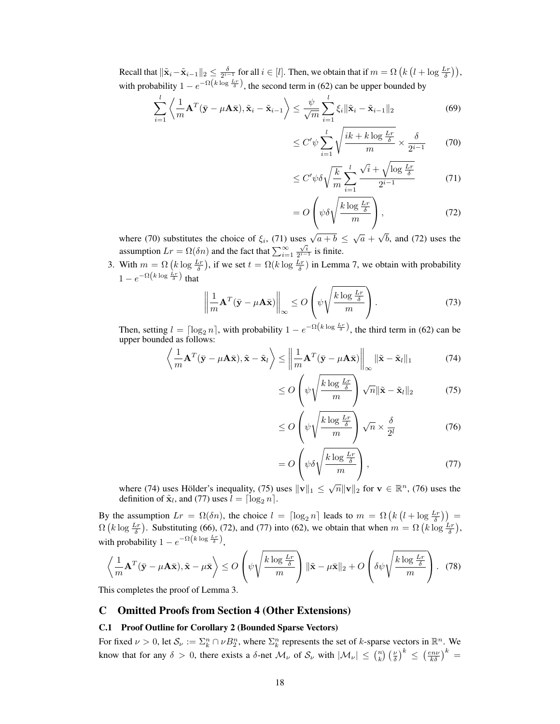Recall that  $\|\tilde{\mathbf{x}}_i-\tilde{\mathbf{x}}_{i-1}\|_2 \leq \frac{\delta}{2^{i-1}}$  for all  $i \in [l]$ . Then, we obtain that if  $m = \Omega\left(k\left(l + \log \frac{Lr}{\delta}\right)\right)$ , with probability  $1 - e^{-\Omega(k \log \frac{L_r}{\delta})}$ , the second term in [\(62\)](#page-4-1) can be upper bounded by

$$
\sum_{i=1}^{l} \left\langle \frac{1}{m} \mathbf{A}^T (\bar{\mathbf{y}} - \mu \mathbf{A} \bar{\mathbf{x}}), \tilde{\mathbf{x}}_i - \tilde{\mathbf{x}}_{i-1} \right\rangle \le \frac{\psi}{\sqrt{m}} \sum_{i=1}^{l} \xi_i \| \tilde{\mathbf{x}}_i - \tilde{\mathbf{x}}_{i-1} \|_2
$$
 (69)

<span id="page-5-0"></span>
$$
\leq C' \psi \sum_{i=1}^{l} \sqrt{\frac{ik + k \log \frac{Lr}{\delta}}{m}} \times \frac{\delta}{2^{i-1}} \qquad (70)
$$

<span id="page-5-1"></span>
$$
\leq C' \psi \delta \sqrt{\frac{k}{m}} \sum_{i=1}^{l} \frac{\sqrt{i} + \sqrt{\log \frac{Lr}{\delta}}}{2^{i-1}} \tag{71}
$$

<span id="page-5-2"></span>
$$
=O\left(\psi\delta\sqrt{\frac{k\log\frac{Lr}{\delta}}{m}}\right),\tag{72}
$$

where [\(70\)](#page-5-0) substitutes the choice of  $\xi_i$ , [\(71\)](#page-5-1) uses  $\sqrt{a+b} \leq \sqrt{a}$  + √ b, and [\(72\)](#page-5-2) uses the assumption  $Lr = \Omega(\delta n)$  and the fact that  $\sum_{i=1}^{\infty}$  $rac{\sqrt{i}}{2^{i-1}}$  is finite.

3. With  $m = \Omega\left(k \log \frac{Lr}{\delta}\right)$ , if we set  $t = \Omega(k \log \frac{Lr}{\delta})$  in Lemma [7,](#page-2-3) we obtain with probability  $1 - e^{-\Omega\left(k \log \frac{Lr}{\delta}\right)}$  that

$$
\left\| \frac{1}{m} \mathbf{A}^T (\bar{\mathbf{y}} - \mu \mathbf{A} \bar{\mathbf{x}}) \right\|_{\infty} \le O\left(\psi \sqrt{\frac{k \log \frac{Lr}{\delta}}{m}}\right). \tag{73}
$$

Then, setting  $l = \lceil \log_2 n \rceil$ , with probability  $1 - e^{-\Omega(k \log \frac{L_r}{\delta})}$ , the third term in [\(62\)](#page-4-1) can be upper bounded as follows:

$$
\left\langle \frac{1}{m} \mathbf{A}^T (\bar{\mathbf{y}} - \mu \mathbf{A} \bar{\mathbf{x}}), \tilde{\mathbf{x}} - \tilde{\mathbf{x}}_l \right\rangle \le \left\| \frac{1}{m} \mathbf{A}^T (\bar{\mathbf{y}} - \mu \mathbf{A} \bar{\mathbf{x}}) \right\|_{\infty} \| \tilde{\mathbf{x}} - \tilde{\mathbf{x}}_l \|_1
$$
 (74)

<span id="page-5-4"></span><span id="page-5-3"></span>
$$
\leq O\left(\psi\sqrt{\frac{k\log\frac{Lr}{\delta}}{m}}\right)\sqrt{n}\|\tilde{\mathbf{x}}-\tilde{\mathbf{x}}_l\|_2\tag{75}
$$

<span id="page-5-5"></span>
$$
\leq O\left(\psi\sqrt{\frac{k\log\frac{Lr}{\delta}}{m}}\right)\sqrt{n}\times\frac{\delta}{2^l}\tag{76}
$$

<span id="page-5-6"></span>
$$
=O\left(\psi\delta\sqrt{\frac{k\log\frac{Lr}{\delta}}{m}}\right),\tag{77}
$$

where [\(74\)](#page-5-3) uses Hölder's inequality, [\(75\)](#page-5-4) uses  $\|\mathbf{v}\|_1 \leq \sqrt{n} \|\mathbf{v}\|_2$  for  $\mathbf{v} \in \mathbb{R}^n$ , [\(76\)](#page-5-5) uses the definition of  $\tilde{\mathbf{x}}_l$ , and [\(77\)](#page-5-6) uses  $l = \lceil \log_2 n \rceil$ .

By the assumption  $Lr = \Omega(\delta n)$ , the choice  $l = \lceil \log_2 n \rceil$  leads to  $m = \Omega\left(k\left(l + \log \frac{Lr}{\delta}\right)\right)$  $\Omega(k \log \frac{Lr}{\delta})$ . Substituting [\(66\)](#page-4-2), [\(72\)](#page-5-2), and [\(77\)](#page-5-6) into [\(62\)](#page-4-1), we obtain that when  $m = \Omega(k \log \frac{Lr}{\delta})$ , with probability  $1 - e^{-\Omega\left(k \log \frac{Lr}{\delta}\right)},$ 

$$
\left\langle \frac{1}{m} \mathbf{A}^T (\bar{\mathbf{y}} - \mu \mathbf{A} \bar{\mathbf{x}}), \tilde{\mathbf{x}} - \mu \bar{\mathbf{x}} \right\rangle \le O\left(\psi \sqrt{\frac{k \log \frac{Lr}{\delta}}{m}}\right) \|\tilde{\mathbf{x}} - \mu \bar{\mathbf{x}}\|_2 + O\left(\delta \psi \sqrt{\frac{k \log \frac{Lr}{\delta}}{m}}\right). \tag{78}
$$

This completes the proof of Lemma [3.](#page--1-6)

# C Omitted Proofs from Section [4](#page--1-15) (Other Extensions)

# C.1 Proof Outline for Corollary [2](#page--1-16) (Bounded Sparse Vectors)

For fixed  $\nu > 0$ , let  $S_{\nu} := \sum_{k}^{n} \cap \nu B_{2}^{n}$ , where  $\sum_{k}^{n}$  represents the set of k-sparse vectors in  $\mathbb{R}^{n}$ . We know that for any  $\delta > 0$ , there exists a  $\delta$ -net  $\mathcal{M}_{\nu}$  of  $\mathcal{S}_{\nu}$  with  $|\mathcal{M}_{\nu}| \leq {n \choose k} \left(\frac{\nu}{\delta}\right)^k \leq \left(\frac{e n \nu}{k \delta}\right)^k =$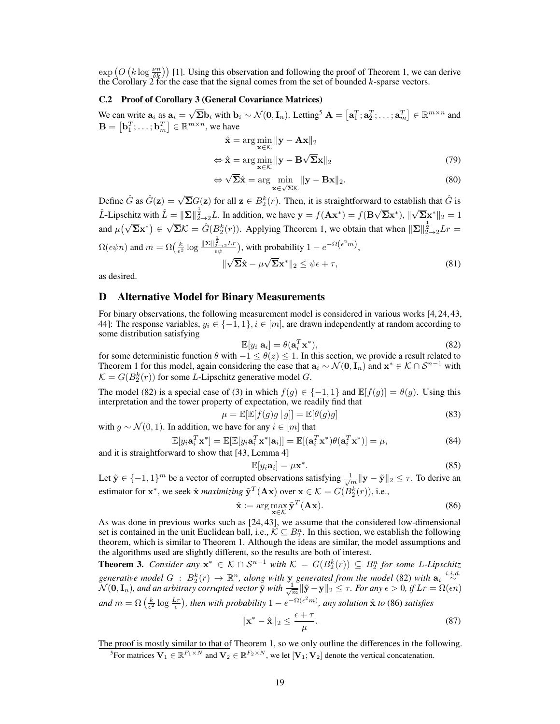$\exp\left(O\left(k \log \frac{\nu n}{\delta k}\right)\right)$  [\[1\]](#page--1-17). Using this observation and following the proof of Theorem [1,](#page--1-4) we can derive the Corollary [2](#page--1-16) for the case that the signal comes from the set of bounded  $k$ -sparse vectors.

#### C.2 Proof of Corollary [3](#page--1-18) (General Covariance Matrices)

We can write  $a_i$  as  $a_i =$  $\sqrt{\Sigma}$ **b**<sub>i</sub> with **b**<sub>i</sub> ~  $\mathcal{N}(\mathbf{0}, \mathbf{I}_n)$ . Letting<sup>[5](#page-6-0)</sup>  $\mathbf{A} = [\mathbf{a}_1^T; \mathbf{a}_2^T; \dots; \mathbf{a}_m^T] \in \mathbb{R}^{m \times n}$  and  $\mathbf{B} = \left[ \mathbf{b}_1^T; \ldots; \mathbf{b}_m^T \right] \in \mathbb{R}^{m \times n}$ , we have

$$
\hat{\mathbf{x}} = \arg\min_{\mathbf{x} \in \mathcal{K}} \|\mathbf{y} - \mathbf{A}\mathbf{x}\|_2
$$
  
\n
$$
\Leftrightarrow \hat{\mathbf{x}} = \arg\min_{\mathbf{x} \in \mathcal{K}} \|\mathbf{y} - \mathbf{B}\sqrt{\Sigma}\mathbf{x}\|_2
$$
\n(79)

$$
\Leftrightarrow \sqrt{\Sigma}\hat{\mathbf{x}} = \arg\min_{\mathbf{x}\in\sqrt{\Sigma}\mathcal{K}} \|\mathbf{y} - \mathbf{B}\mathbf{x}\|_2.
$$
 (80)

Define  $\hat{G}$  as  $\hat{G}(\mathbf{z}) = \sqrt{\Sigma} G(\mathbf{z})$  for all  $\mathbf{z} \in B_2^k(r)$ . Then, it is straightforward to establish that  $\hat{G}$  is  $\hat{L}$ -Lipschitz with  $\hat{L} = \|\Sigma\|_{2\to 2}^{\frac{1}{2}}L$ . In addition, we have  $\mathbf{y} = f(\mathbf{A}\mathbf{x}^*) = f(\mathbf{B})$  $\sqrt{\Sigma} \mathbf{x}^{*}$ ),  $\parallel$  $\sqrt{\Sigma} \mathbf{x}^* \|_2 = 1$ and  $\mu(\sqrt{\Sigma}x^*) \in$  $\sqrt{\Sigma} \mathcal{K} = \hat{G}(B_2^k(r))$ . Applying Theorem [1,](#page--1-4) we obtain that when  $\|\Sigma\|_{2\to 2}^{\frac{1}{2}} Lr =$  $\Omega(\epsilon \psi n)$  and  $m = \Omega\left(\frac{k}{\epsilon^2}\log \frac{\|\boldsymbol{\Sigma}\|_{2\to 2}^{\frac{1}{2}} L r}{\epsilon \psi}\right)$ , with probability  $1 - e^{-\Omega(\epsilon^2 m)}$ , √  $\boldsymbol{\Sigma}\hat{\mathbf{x}} - \mu$  $\sqrt{\Sigma} \mathbf{x}^* \|_2 \leq \psi \epsilon + \tau,$  (81)

as desired.

## D Alternative Model for Binary Measurements

For binary observations, the following measurement model is considered in various works [\[4,](#page--1-19) [24,](#page--1-20) [43,](#page--1-21) [44\]](#page--1-22): The response variables,  $y_i \in \{-1, 1\}$ ,  $i \in [m]$ , are drawn independently at random according to some distribution satisfying

<span id="page-6-1"></span>
$$
\mathbb{E}[y_i|\mathbf{a}_i] = \theta(\mathbf{a}_i^T \mathbf{x}^*),\tag{82}
$$

for some deterministic function  $\theta$  with  $-1 \leq \theta(z) \leq 1$ . In this section, we provide a result related to Theorem [1](#page--1-4) for this model, again considering the case that  $a_i \sim \mathcal{N}(\mathbf{0}, \mathbf{I}_n)$  and  $\mathbf{x}^* \in \mathcal{K} \cap \mathcal{S}^{n-1}$  with  $\mathcal{K} = G(B_2^k(r))$  for some L-Lipschitz generative model G.

The model [\(82\)](#page-6-1) is a special case of [\(3\)](#page--1-23) in which  $f(g) \in \{-1,1\}$  and  $\mathbb{E}[f(g)] = \theta(g)$ . Using this interpretation and the tower property of expectation, we readily find that

$$
\mu = \mathbb{E}[\mathbb{E}[f(g)g \mid g]] = \mathbb{E}[\theta(g)g]
$$
\n(83)

with  $g \sim \mathcal{N}(0, 1)$ . In addition, we have for any  $i \in [m]$  that

$$
\mathbb{E}[y_i \mathbf{a}_i^T \mathbf{x}^*] = \mathbb{E}[\mathbb{E}[y_i \mathbf{a}_i^T \mathbf{x}^* | \mathbf{a}_i]] = \mathbb{E}[(\mathbf{a}_i^T \mathbf{x}^*) \theta (\mathbf{a}_i^T \mathbf{x}^*)] = \mu,
$$
\n(84)

and it is straightforward to show that [\[43,](#page--1-21) Lemma 4]

$$
\mathbb{E}[y_i \mathbf{a}_i] = \mu \mathbf{x}^*.
$$
 (85)

Let  $\tilde{\mathbf{y}} \in \{-1, 1\}^m$  be a vector of corrupted observations satisfying  $\frac{1}{\sqrt{m}} \|\mathbf{y} - \tilde{\mathbf{y}}\|_2 \le \tau$ . To derive an estimator for  $\mathbf{x}^*$ , we seek  $\hat{\mathbf{x}}$  *maximizing*  $\tilde{\mathbf{y}}^T(\mathbf{A}\mathbf{x})$  over  $\mathbf{x} \in \mathcal{K} = G(B_2^k(r))$ , i.e.,

<span id="page-6-2"></span>
$$
\hat{\mathbf{x}} := \arg \max_{\mathbf{x} \in \mathcal{K}} \tilde{\mathbf{y}}^T (\mathbf{A} \mathbf{x}). \tag{86}
$$

As was done in previous works such as [\[24,](#page--1-20) [43\]](#page--1-21), we assume that the considered low-dimensional set is contained in the unit Euclidean ball, i.e.,  $\mathcal{K} \subseteq B_2^n$ . In this section, we establish the following theorem, which is similar to Theorem [1.](#page--1-4) Although the ideas are similar, the model assumptions and the algorithms used are slightly different, so the results are both of interest.

<span id="page-6-3"></span>**Theorem 3.** *Consider any*  $x^* \in K \cap S^{n-1}$  *with*  $K = G(B_2^k(r)) \subseteq B_2^n$  *for some L-Lipschitz generative model*  $G : B_2^k(r) \to \mathbb{R}^n$ , along with y generated from the model [\(82\)](#page-6-1) with  $a_i \stackrel{i.i.d.}{\sim} a_i$  $\widetilde{\mathcal{N}}(\mathbf{0}, \mathbf{I}_n)$ , and an arbitrary corrupted vector  $\tilde{\mathbf{y}}$  with  $\frac{1}{\sqrt{m}}\|\tilde{\mathbf{y}}-\mathbf{y}\|_2 \leq \tau$ . For any  $\epsilon > 0$ , if  $Lr = \Omega(\epsilon n)$  $and m = \Omega\left(\frac{k}{\epsilon^2}\log\frac{Lr}{\epsilon}\right)$ , then with probability  $1 - e^{-\Omega(\epsilon^2 m)}$ , any solution  $\hat{\mathbf{x}}$  to [\(86\)](#page-6-2) satisfies

$$
\|\mathbf{x}^* - \hat{\mathbf{x}}\|_2 \le \frac{\epsilon + \tau}{\mu}.\tag{87}
$$

The proof is mostly similar to that of Theorem [1,](#page--1-4) so we only outline the differences in the following.

<span id="page-6-0"></span><sup>5</sup> For matrices  $V_1 \in \mathbb{R}^{F_1 \times N}$  and  $V_2 \in \mathbb{R}^{F_2 \times N}$ , we let  $[V_1; V_2]$  denote the vertical concatenation.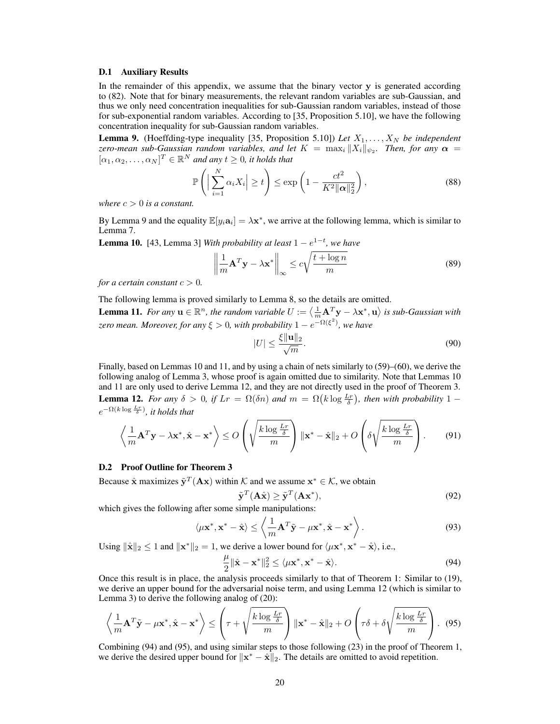#### D.1 Auxiliary Results

In the remainder of this appendix, we assume that the binary vector y is generated according to [\(82\)](#page-6-1). Note that for binary measurements, the relevant random variables are sub-Gaussian, and thus we only need concentration inequalities for sub-Gaussian random variables, instead of those for sub-exponential random variables. According to [\[35,](#page--1-12) Proposition 5.10], we have the following concentration inequality for sub-Gaussian random variables.

<span id="page-7-0"></span>**Lemma 9.** (Hoeffding-type inequality [\[35,](#page--1-12) Proposition 5.10]) Let  $X_1, \ldots, X_N$  be independent *zero-mean sub-Gaussian random variables, and let*  $K = \max_i ||X_i||_{\psi_2}$ . Then, for any  $\alpha =$  $[\alpha_1, \alpha_2, \ldots, \alpha_N]^T \in \mathbb{R}^N$  and any  $t \geq 0$ , it holds that

$$
\mathbb{P}\left(\left|\sum_{i=1}^{N} \alpha_i X_i\right| \ge t\right) \le \exp\left(1 - \frac{ct^2}{K^2 \|\alpha\|_2^2}\right),\tag{88}
$$

*where*  $c > 0$  *is a constant.* 

By Lemma [9](#page-7-0) and the equality  $\mathbb{E}[y_i \mathbf{a}_i] = \lambda \mathbf{x}^*$ , we arrive at the following lemma, which is similar to Lemma [7.](#page-2-3)

<span id="page-7-1"></span>**Lemma 10.** [\[43,](#page--1-21) Lemma 3] *With probability at least*  $1 - e^{1-t}$ , we have

$$
\left\| \frac{1}{m} \mathbf{A}^T \mathbf{y} - \lambda \mathbf{x}^* \right\|_{\infty} \le c \sqrt{\frac{t + \log n}{m}}
$$
(89)

*for a certain constant*  $c > 0$ *.* 

<span id="page-7-2"></span>The following lemma is proved similarly to Lemma [8,](#page-3-1) so the details are omitted. **Lemma 11.** For any  $\mathbf{u} \in \mathbb{R}^n$ , the random variable  $U := \langle \frac{1}{m} \mathbf{A}^T \mathbf{y} - \lambda \mathbf{x}^*, \mathbf{u} \rangle$  is sub-Gaussian with *zero mean. Moreover, for any* ξ > 0*, with probability* 1 − e −Ω(ξ 2 ) *, we have*

$$
|U| \le \frac{\xi ||\mathbf{u}||_2}{\sqrt{m}}.\tag{90}
$$

<span id="page-7-3"></span>Finally, based on Lemmas [10](#page-7-1) and [11,](#page-7-2) and by using a chain of nets similarly to [\(59\)](#page-3-2)–[\(60\)](#page-3-3), we derive the following analog of Lemma [3,](#page--1-6) whose proof is again omitted due to similarity. Note that Lemmas [10](#page-7-1) and [11](#page-7-2) are only used to derive Lemma [12,](#page-7-3) and they are not directly used in the proof of Theorem [3.](#page-6-3) **Lemma 12.** *For any*  $\delta > 0$ , if  $Lr = \Omega(\delta n)$  and  $m = \Omega(k \log \frac{Lr}{\delta})$ , then with probability 1 –  $e^{-\Omega(k \log \frac{Lr}{\delta})}$ , it holds that

$$
\left\langle \frac{1}{m} \mathbf{A}^T \mathbf{y} - \lambda \mathbf{x}^*, \hat{\mathbf{x}} - \mathbf{x}^* \right\rangle \le O\left(\sqrt{\frac{k \log \frac{Lr}{\delta}}{m}}\right) \|\mathbf{x}^* - \hat{\mathbf{x}}\|_2 + O\left(\delta \sqrt{\frac{k \log \frac{Lr}{\delta}}{m}}\right). \tag{91}
$$

#### D.2 Proof Outline for Theorem [3](#page-6-3)

Because  $\hat{\mathbf{x}}$  maximizes  $\tilde{\mathbf{y}}^T(\mathbf{A}\mathbf{x})$  within K and we assume  $\mathbf{x}^* \in \mathcal{K}$ , we obtain

$$
\tilde{\mathbf{y}}^T(\mathbf{A}\hat{\mathbf{x}}) \ge \tilde{\mathbf{y}}^T(\mathbf{A}\mathbf{x}^*),\tag{92}
$$

which gives the following after some simple manipulations:

$$
\langle \mu \mathbf{x}^*, \mathbf{x}^* - \hat{\mathbf{x}} \rangle \le \left\langle \frac{1}{m} \mathbf{A}^T \tilde{\mathbf{y}} - \mu \mathbf{x}^*, \hat{\mathbf{x}} - \mathbf{x}^* \right\rangle.
$$
 (93)

Using  $\|\hat{\mathbf{x}}\|_2 \leq 1$  and  $\|\mathbf{x}^*\|_2 = 1$ , we derive a lower bound for  $\langle \mu \mathbf{x}^*, \mathbf{x}^* - \hat{\mathbf{x}} \rangle$ , i.e.,

<span id="page-7-4"></span>
$$
\frac{\mu}{2} \|\hat{\mathbf{x}} - \mathbf{x}^*\|_2^2 \le \langle \mu \mathbf{x}^*, \mathbf{x}^* - \hat{\mathbf{x}} \rangle. \tag{94}
$$

Once this result is in place, the analysis proceeds similarly to that of Theorem [1:](#page--1-4) Similar to [\(19\)](#page--1-24), we derive an upper bound for the adversarial noise term, and using Lemma [12](#page-7-3) (which is similar to Lemma [3\)](#page--1-6) to derive the following analog of [\(20\)](#page--1-25):

<span id="page-7-5"></span>
$$
\left\langle \frac{1}{m} \mathbf{A}^T \tilde{\mathbf{y}} - \mu \mathbf{x}^*, \hat{\mathbf{x}} - \mathbf{x}^* \right\rangle \le \left( \tau + \sqrt{\frac{k \log \frac{Lr}{\delta}}{m}} \right) \|\mathbf{x}^* - \hat{\mathbf{x}}\|_2 + O\left( \tau \delta + \delta \sqrt{\frac{k \log \frac{Lr}{\delta}}{m}} \right). \tag{95}
$$

Combining [\(94\)](#page-7-4) and [\(95\)](#page-7-5), and using similar steps to those following [\(23\)](#page--1-26) in the proof of Theorem [1,](#page--1-4) we derive the desired upper bound for  $\|\mathbf{x}^* - \hat{\mathbf{x}}\|_2$ . The details are omitted to avoid repetition.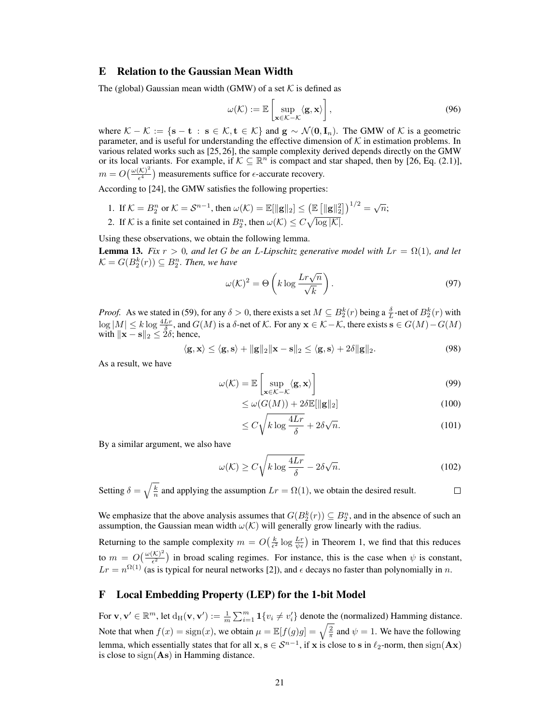# <span id="page-8-0"></span>E Relation to the Gaussian Mean Width

The (global) Gaussian mean width (GMW) of a set  $K$  is defined as

$$
\omega(\mathcal{K}) := \mathbb{E}\left[\sup_{\mathbf{x}\in\mathcal{K}-\mathcal{K}} \langle \mathbf{g}, \mathbf{x} \rangle\right],\tag{96}
$$

where  $\mathcal{K} - \mathcal{K} := \{ \mathbf{s} - \mathbf{t} : \mathbf{s} \in \mathcal{K}, \mathbf{t} \in \mathcal{K} \}$  and  $\mathbf{g} \sim \mathcal{N}(\mathbf{0}, \mathbf{I}_n)$ . The GMW of  $\mathcal{K}$  is a geometric parameter, and is useful for understanding the effective dimension of  $K$  in estimation problems. In various related works such as [\[25,](#page--1-10) [26\]](#page--1-1), the sample complexity derived depends directly on the GMW or its local variants. For example, if  $K \subseteq \mathbb{R}^n$  is compact and star shaped, then by [\[26,](#page--1-1) Eq. (2.1)],  $m = O\left(\frac{\omega(\mathcal{K})^2}{\epsilon^4}\right)$  $\frac{(\mathcal{K})^2}{\epsilon^4}$ ) measurements suffice for  $\epsilon$ -accurate recovery.

According to [\[24\]](#page--1-20), the GMW satisfies the following properties:

- 1. If  $\mathcal{K} = B_2^n$  or  $\mathcal{K} = \mathcal{S}^{n-1}$ , then  $\omega(\mathcal{K}) = \mathbb{E}[\|\mathbf{g}\|_2] \le (\mathbb{E} [\|\mathbf{g}\|_2^2])^{1/2} = \sqrt{n}$ ;
- 2. If K is a finite set contained in  $B_2^n$ , then  $\omega(\mathcal{K}) \leq C \sqrt{\log |\mathcal{K}|}$ .

Using these observations, we obtain the following lemma.

**Lemma 13.** *Fix*  $r > 0$ *, and let* G *be an L-Lipschitz generative model with*  $Lr = \Omega(1)$ *, and let*  $\mathcal{K} = G(B_2^k(r)) \subseteq B_2^n$ . Then, we have

$$
\omega(\mathcal{K})^2 = \Theta\left(k \log \frac{Lr\sqrt{n}}{\sqrt{k}}\right). \tag{97}
$$

*Proof.* As we stated in [\(59\)](#page-3-2), for any  $\delta > 0$ , there exists a set  $M \subseteq B_2^k(r)$  being a  $\frac{\delta}{L}$ -net of  $B_2^k(r)$  with  $\log|M| \le k \log \frac{4Lr}{\delta}$ , and  $G(M)$  is a  $\delta$ -net of K. For any  $\mathbf{x} \in \mathcal{K} - \mathcal{K}$ , there exists  $\mathbf{s} \in G(M) - G(M)$ with  $\|\mathbf{x} - \mathbf{s}\|_2 \leq 2\delta$ ; hence,

$$
\langle \mathbf{g}, \mathbf{x} \rangle \le \langle \mathbf{g}, \mathbf{s} \rangle + ||\mathbf{g}||_2 ||\mathbf{x} - \mathbf{s}||_2 \le \langle \mathbf{g}, \mathbf{s} \rangle + 2\delta ||\mathbf{g}||_2. \tag{98}
$$

As a result, we have

$$
\omega(\mathcal{K}) = \mathbb{E}\left[\sup_{\mathbf{x}\in\mathcal{K}-\mathcal{K}} \langle \mathbf{g}, \mathbf{x} \rangle\right]
$$
(99)

$$
\leq \omega(G(M)) + 2\delta \mathbb{E}[\|\mathbf{g}\|_2] \tag{100}
$$

$$
\leq C\sqrt{k\log\frac{4Lr}{\delta}} + 2\delta\sqrt{n}.\tag{101}
$$

By a similar argument, we also have

$$
\omega(\mathcal{K}) \ge C\sqrt{k \log \frac{4Lr}{\delta}} - 2\delta\sqrt{n}.\tag{102}
$$

Setting  $\delta = \sqrt{\frac{k}{n}}$  and applying the assumption  $Lr = \Omega(1)$ , we obtain the desired result.  $\Box$ 

We emphasize that the above analysis assumes that  $G(B_2^k(r)) \subseteq B_2^n$ , and in the absence of such an assumption, the Gaussian mean width  $\omega(\mathcal{K})$  will generally grow linearly with the radius.

Returning to the sample complexity  $m = O(\frac{k}{\epsilon^2} \log \frac{Lr}{\psi \epsilon})$  in Theorem [1,](#page--1-4) we find that this reduces to  $m = O\left(\frac{\omega(\mathcal{K})^2}{\epsilon^2}\right)$  $\frac{(\mathcal{K})^2}{\epsilon^2}$ ) in broad scaling regimes. For instance, this is the case when  $\psi$  is constant,  $Lr = n^{\Omega(1)}$  (as is typical for neural networks [\[2\]](#page--1-14)), and  $\epsilon$  decays no faster than polynomially in n.

# F Local Embedding Property (LEP) for the 1-bit Model

For  $\mathbf{v}, \mathbf{v}' \in \mathbb{R}^m$ , let  $d_H(\mathbf{v}, \mathbf{v}') := \frac{1}{m} \sum_{i=1}^m \mathbf{1}\{v_i \neq v'_i\}$  denote the (normalized) Hamming distance. Note that when  $f(x) = sign(x)$ , we obtain  $\mu = \mathbb{E}[f(g)g] = \sqrt{\frac{2}{\pi}}$  and  $\psi = 1$ . We have the following lemma, which essentially states that for all  $x, s \in S^{n-1}$ , if x is close to s in  $\ell_2$ -norm, then  $sign(Ax)$ is close to  $sign(As)$  in Hamming distance.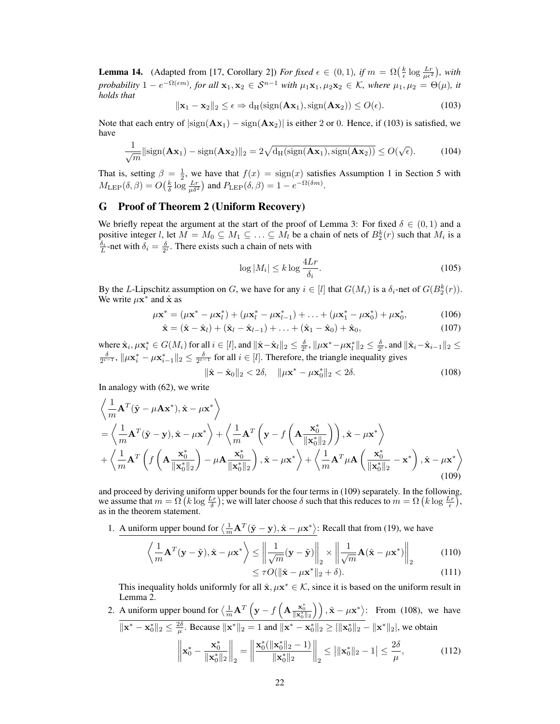**Lemma 14.** (Adapted from [\[17,](#page--1-27) Corollary 2]) *For fixed*  $\epsilon \in (0,1)$ , if  $m = \Omega(\frac{k}{\epsilon} \log \frac{Lr}{\mu \epsilon^2})$ , with *probability*  $1 - e^{-\Omega(\epsilon m)}$ , for all  $\mathbf{x}_1, \mathbf{x}_2 \in S^{n-1}$  *with*  $\mu_1 \mathbf{x}_1, \mu_2 \mathbf{x}_2 \in \mathcal{K}$ , where  $\mu_1, \mu_2 = \Theta(\mu)$ , it *holds that*

<span id="page-9-0"></span>
$$
\|\mathbf{x}_1 - \mathbf{x}_2\|_2 \le \epsilon \Rightarrow d_H(\text{sign}(\mathbf{A}\mathbf{x}_1), \text{sign}(\mathbf{A}\mathbf{x}_2)) \le O(\epsilon). \tag{103}
$$

Note that each entry of  $|\text{sign}(\mathbf{A} \mathbf{x}_1) - \text{sign}(\mathbf{A} \mathbf{x}_2)|$  is either 2 or 0. Hence, if [\(103\)](#page-9-0) is satisfied, we have

$$
\frac{1}{\sqrt{m}}\|\text{sign}(\mathbf{A}\mathbf{x}_1) - \text{sign}(\mathbf{A}\mathbf{x}_2)\|_2 = 2\sqrt{d_H(\text{sign}(\mathbf{A}\mathbf{x}_1), \text{sign}(\mathbf{A}\mathbf{x}_2))} \le O(\sqrt{\epsilon}).\tag{104}
$$

That is, setting  $\beta = \frac{1}{2}$  $\beta = \frac{1}{2}$  $\beta = \frac{1}{2}$ , we have that  $f(x) = \text{sign}(x)$  satisfies Assumption 1 in Section [5](#page--1-29) with  $M_{\rm LEP}(\delta, \beta) = O\left(\frac{k}{\delta} \log \frac{Lr}{\mu \delta^2}\right)$  and  $P_{\rm LEP}(\delta, \beta) = 1 - e^{-\Omega(\delta m)}$ .

# G Proof of Theorem [2](#page--1-17) (Uniform Recovery)

We briefly repeat the argument at the start of the proof of Lemma [3:](#page--1-6) For fixed  $\delta \in (0,1)$  and a positive integer *l*, let  $M = M_0 \subseteq M_1 \subseteq \ldots \subseteq M_l$  be a chain of nets of  $B_2^k(r)$  such that  $M_i$  is a  $\frac{\delta_i}{L}$ -net with  $\delta_i = \frac{\delta}{2^i}$ . There exists such a chain of nets with

$$
\log|M_i| \le k \log \frac{4Lr}{\delta_i}.\tag{105}
$$

By the L-Lipschitz assumption on G, we have for any  $i \in [l]$  that  $G(M_i)$  is a  $\delta_i$ -net of  $G(B_2^k(r))$ . We write  $\mu \mathbf{x}^*$  and  $\hat{\mathbf{x}}$  as

$$
\mu \mathbf{x}^* = (\mu \mathbf{x}^* - \mu \mathbf{x}_l^*) + (\mu \mathbf{x}_l^* - \mu \mathbf{x}_{l-1}^*) + \ldots + (\mu \mathbf{x}_1^* - \mu \mathbf{x}_0^*) + \mu \mathbf{x}_0^*,\tag{106}
$$

$$
\hat{\mathbf{x}} = (\hat{\mathbf{x}} - \hat{\mathbf{x}}_l) + (\hat{\mathbf{x}}_l - \hat{\mathbf{x}}_{l-1}) + \ldots + (\hat{\mathbf{x}}_1 - \hat{\mathbf{x}}_0) + \hat{\mathbf{x}}_0, \tag{107}
$$

where  $\hat{\mathbf{x}}_i, \mu \mathbf{x}_i^* \in G(M_i)$  for all  $i \in [l]$ , and  $\|\hat{\mathbf{x}} - \hat{\mathbf{x}}_l\|_2 \le \frac{\delta}{2^l}$ ,  $\|\mu \mathbf{x}^* - \mu \mathbf{x}_l^*\|_2 \le \frac{\delta}{2^l}$ , and  $\|\hat{\mathbf{x}}_i - \hat{\mathbf{x}}_{i-1}\|_2 \le$  $\frac{\delta}{2^{i-1}}$ ,  $\|\mu \mathbf{x}_i^* - \mu \mathbf{x}_{i-1}^*\|_2 \leq \frac{\delta}{2^{i-1}}$  for all  $i \in [l]$ . Therefore, the triangle inequality gives

<span id="page-9-2"></span><span id="page-9-1"></span>
$$
\|\hat{\mathbf{x}} - \hat{\mathbf{x}}_0\|_2 < 2\delta, \quad \|\mu \mathbf{x}^* - \mu \mathbf{x}_0^*\|_2 < 2\delta. \tag{108}
$$

In analogy with [\(62\)](#page-4-1), we write

$$
\left\langle \frac{1}{m} \mathbf{A}^T (\tilde{\mathbf{y}} - \mu \mathbf{A} \mathbf{x}^*) , \hat{\mathbf{x}} - \mu \mathbf{x}^* \right\rangle \n= \left\langle \frac{1}{m} \mathbf{A}^T (\tilde{\mathbf{y}} - \mathbf{y}) , \hat{\mathbf{x}} - \mu \mathbf{x}^* \right\rangle + \left\langle \frac{1}{m} \mathbf{A}^T \left( \mathbf{y} - f \left( \mathbf{A} \frac{\mathbf{x}_0^*}{\|\mathbf{x}_0^*\|_2} \right) \right), \hat{\mathbf{x}} - \mu \mathbf{x}^* \right\rangle \n+ \left\langle \frac{1}{m} \mathbf{A}^T \left( f \left( \mathbf{A} \frac{\mathbf{x}_0^*}{\|\mathbf{x}_0^*\|_2} \right) - \mu \mathbf{A} \frac{\mathbf{x}_0^*}{\|\mathbf{x}_0^*\|_2} \right), \hat{\mathbf{x}} - \mu \mathbf{x}^* \right\rangle + \left\langle \frac{1}{m} \mathbf{A}^T \mu \mathbf{A} \left( \frac{\mathbf{x}_0^*}{\|\mathbf{x}_0^*\|_2} - \mathbf{x}^* \right), \hat{\mathbf{x}} - \mu \mathbf{x}^* \right\rangle
$$
\n(109)

and proceed by deriving uniform upper bounds for the four terms in [\(109\)](#page-9-1) separately. In the following, we assume that  $m = \Omega\left(k \log \frac{Lr}{\delta}\right)$ ; we will later choose  $\delta$  such that this reduces to  $m = \Omega\left(k \log \frac{Lr}{\epsilon}\right)$ , as in the theorem statement.

1. A uniform upper bound for  $\langle \frac{1}{m} \mathbf{A}^T (\tilde{\mathbf{y}} - \mathbf{y}), \hat{\mathbf{x}} - \mu \mathbf{x}^* \rangle$ : Recall that from [\(19\)](#page--1-24), we have

<span id="page-9-3"></span>
$$
\left\langle \frac{1}{m} \mathbf{A}^T (\mathbf{y} - \tilde{\mathbf{y}}), \hat{\mathbf{x}} - \mu \mathbf{x}^* \right\rangle \le \left\| \frac{1}{\sqrt{m}} (\mathbf{y} - \tilde{\mathbf{y}}) \right\|_2 \times \left\| \frac{1}{\sqrt{m}} \mathbf{A} (\hat{\mathbf{x}} - \mu \mathbf{x}^*) \right\|_2
$$
(110)  

$$
\le \tau O(\|\hat{\mathbf{x}} - \mu \mathbf{x}^*\|_2 + \delta).
$$

This inequality holds uniformly for all  $\hat{\mathbf{x}}, \mu \mathbf{x}^* \in \mathcal{K}$ , since it is based on the uniform result in Lemma [2.](#page--1-5)

<span id="page-9-4"></span>2. A uniform upper bound for 
$$
\left\langle \frac{1}{m} \mathbf{A}^T \left( \mathbf{y} - f \left( \mathbf{A} \frac{\mathbf{x}_0^*}{\|\mathbf{x}_0^*\|_2} \right) \right), \hat{\mathbf{x}} - \mu \mathbf{x}^* \right\rangle
$$
: From (108), we have  
\n
$$
\|\mathbf{x}^* - \mathbf{x}_0^*\|_2 \le \frac{2\delta}{\mu}
$$
. Because  $\|\mathbf{x}^*\|_2 = 1$  and  $\|\mathbf{x}^* - \mathbf{x}_0^*\|_2 \ge ||\mathbf{x}_0^*||_2 - \|\mathbf{x}^*\|_2$ , we obtain  
\n
$$
\left\|\mathbf{x}_0^* - \frac{\mathbf{x}_0^*}{\|\mathbf{x}_0^*\|_2}\right\|_2 = \left\|\frac{\mathbf{x}_0^*(\|\mathbf{x}_0^*\|_2 - 1)}{\|\mathbf{x}_0^*\|_2}\right\|_2 \le ||\mathbf{x}_0^*||_2 - 1 \le \frac{2\delta}{\mu},
$$
\n(112)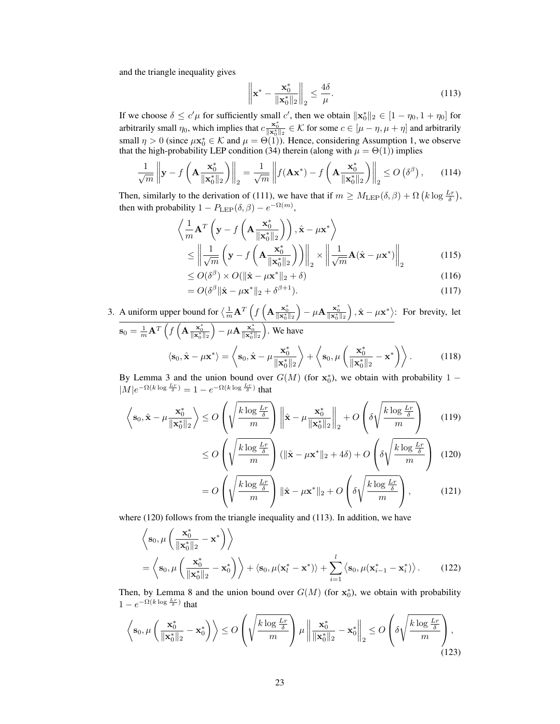and the triangle inequality gives

<span id="page-10-1"></span>
$$
\left\| \mathbf{x}^* - \frac{\mathbf{x}_0^*}{\|\mathbf{x}_0^*\|_2} \right\|_2 \le \frac{4\delta}{\mu}.\tag{113}
$$

If we choose  $\delta \le c' \mu$  for sufficiently small c', then we obtain  $\|\mathbf{x}_0^*\|_2 \in [1 - \eta_0, 1 + \eta_0]$  for arbitrarily small  $\eta_0$ , which implies that  $c \frac{x_0^*}{\|x_0^*\|_2} \in \mathcal{K}$  for some  $c \in [\mu - \eta, \mu + \eta]$  and arbitrarily small  $\eta > 0$  (since  $\mu \mathbf{x}_0^* \in \mathcal{K}$  and  $\mu = \Theta(1)$ ). Hence, considering Assumption [1,](#page--1-28) we observe that the high-probability LEP condition [\(34\)](#page--1-30) therein (along with  $\mu = \Theta(1)$ ) implies

$$
\frac{1}{\sqrt{m}} \left\| \mathbf{y} - f\left(\mathbf{A} \frac{\mathbf{x}_0^*}{\|\mathbf{x}_0^*\|_2}\right) \right\|_2 = \frac{1}{\sqrt{m}} \left\| f(\mathbf{A}\mathbf{x}^*) - f\left(\mathbf{A} \frac{\mathbf{x}_0^*}{\|\mathbf{x}_0^*\|_2}\right) \right\|_2 \le O\left(\delta^{\beta}\right),\tag{114}
$$

Then, similarly to the derivation of [\(111\)](#page-9-3), we have that if  $m \geq M_{\rm LEP}(\delta, \beta) + \Omega (k \log \frac{Lr}{\delta}),$ then with probability  $1 - P_{\text{LEP}}(\delta, \beta) - e^{-\Omega(m)}$ ,

$$
\left\langle \frac{1}{m} \mathbf{A}^T \left( \mathbf{y} - f \left( \mathbf{A} \frac{\mathbf{x}_0^*}{\|\mathbf{x}_0^*\|_2} \right) \right), \hat{\mathbf{x}} - \mu \mathbf{x}^* \right\rangle
$$
\n
$$
\leq \left\| \frac{1}{\sqrt{m}} \left( \mathbf{y} - f \left( \mathbf{A} \frac{\mathbf{x}_0^*}{\|\mathbf{x}_0^*\|_2} \right) \right) \right\|_2 \times \left\| \frac{1}{\sqrt{m}} \mathbf{A} (\hat{\mathbf{x}} - \mu \mathbf{x}^*) \right\|_2
$$
\n
$$
\leq O(\delta^{\beta}) \times O(\|\hat{\mathbf{x}} - \mu \mathbf{x}^*\|_2 + \delta) \tag{116}
$$

$$
\leq O(\delta^{\beta}) \times O(\|\hat{\mathbf{x}} - \mu \mathbf{x}^*\|_2 + \delta) \tag{116}
$$

<span id="page-10-4"></span>
$$
=O(\delta^{\beta} \|\hat{\mathbf{x}} - \mu \mathbf{x}^*\|_2 + \delta^{\beta+1}).
$$
\n(117)

3. A uniform upper bound for  $\langle \frac{1}{m} \mathbf{A}^T \left( f \left( \mathbf{A} \frac{\mathbf{x}_0^*}{\|\mathbf{x}_0^*\|_2} \right) - \mu \mathbf{A} \frac{\mathbf{x}_0^*}{\|\mathbf{x}_0^*\|_2} \right), \hat{\mathbf{x}} - \mu \mathbf{x}^* \rangle$ : For brevity, let  $\mathbf{s}_0 = \frac{1}{m} \mathbf{A}^T \left( f \left( \mathbf{A}_{\frac{\mathbf{x}_0^*}{\|\mathbf{x}_0^*\|_2}} \right) - \mu \mathbf{A}_{\frac{\mathbf{x}_0^*}{\|\mathbf{x}_0^*\|_2}} \right)$ . We have  $\langle \mathbf{s}_0, \hat{\mathbf{x}} - \mu \mathbf{x}^* \rangle = \langle \mathbf{s}_0, \hat{\mathbf{x}} - \mu \frac{\mathbf{x}_0^*}{\|\mathbf{s}_0\|_{\mathbf{x}}}\rangle$  $\|\mathbf{x}_0^*\|_2$  $\bigg\rangle + \bigg\langle s_0, \mu \bigg( \frac{\mathbf{x}_0^*}{\mathbf{x}_0} \bigg)$  $\frac{\mathbf{x}_0^*}{\|\mathbf{x}_0^*\|_2} - \mathbf{x}^*$  ) . (118)

By Lemma [3](#page--1-6) and the union bound over  $G(M)$  (for  $x_0^*$ ), we obtain with probability 1 –  $|M|e^{-\Omega(k \log \frac{Lr}{\delta})} = 1 - e^{-\Omega(k \log \frac{Lr}{\delta})}$  that

$$
\left\langle \mathbf{s}_0, \hat{\mathbf{x}} - \mu \frac{\mathbf{x}_0^*}{\|\mathbf{x}_0^*\|_2} \right\rangle \le O\left(\sqrt{\frac{k \log \frac{Lr}{\delta}}{m}}\right) \left\|\hat{\mathbf{x}} - \mu \frac{\mathbf{x}_0^*}{\|\mathbf{x}_0^*\|_2}\right\|_2 + O\left(\delta\sqrt{\frac{k \log \frac{Lr}{\delta}}{m}}\right) \tag{119}
$$

<span id="page-10-3"></span><span id="page-10-0"></span>
$$
\leq O\left(\sqrt{\frac{k\log\frac{Lr}{\delta}}{m}}\right) \left(\|\hat{\mathbf{x}} - \mu \mathbf{x}^*\|_2 + 4\delta\right) + O\left(\delta\sqrt{\frac{k\log\frac{Lr}{\delta}}{m}}\right) \tag{120}
$$

<span id="page-10-2"></span>
$$
= O\left(\sqrt{\frac{k \log \frac{Lr}{\delta}}{m}}\right) \|\hat{\mathbf{x}} - \mu \mathbf{x}^*\|_2 + O\left(\delta \sqrt{\frac{k \log \frac{Lr}{\delta}}{m}}\right),\tag{121}
$$

where [\(120\)](#page-10-0) follows from the triangle inequality and [\(113\)](#page-10-1). In addition, we have

$$
\left\langle \mathbf{s}_0, \mu \left( \frac{\mathbf{x}_0^*}{\|\mathbf{x}_0^*\|_2} - \mathbf{x}^* \right) \right\rangle
$$
  
= 
$$
\left\langle \mathbf{s}_0, \mu \left( \frac{\mathbf{x}_0^*}{\|\mathbf{x}_0^*\|_2} - \mathbf{x}_0^* \right) \right\rangle + \left\langle \mathbf{s}_0, \mu (\mathbf{x}_l^* - \mathbf{x}^*) \right\rangle + \sum_{i=1}^l \left\langle \mathbf{s}_0, \mu (\mathbf{x}_{i-1}^* - \mathbf{x}_i^*) \right\rangle. \tag{122}
$$

Then, by Lemma [8](#page-3-1) and the union bound over  $G(M)$  (for  $\mathbf{x}_0^*$ ), we obtain with probability  $1 - e^{-\Omega(k \log \frac{Lr}{\delta})}$  that

$$
\left\langle \mathbf{s}_0, \mu\left(\frac{\mathbf{x}_0^*}{\|\mathbf{x}_0^*\|_2} - \mathbf{x}_0^*\right) \right\rangle \le O\left(\sqrt{\frac{k\log\frac{Lr}{\delta}}{m}}\right) \mu \left\|\frac{\mathbf{x}_0^*}{\|\mathbf{x}_0^*\|_2} - \mathbf{x}_0^*\right\|_2 \le O\left(\delta\sqrt{\frac{k\log\frac{Lr}{\delta}}{m}}\right),\tag{123}
$$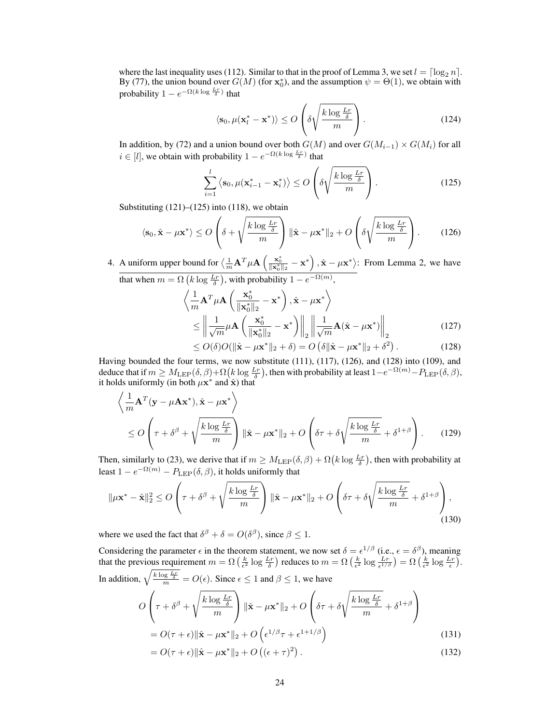where the last inequality uses [\(112\)](#page-9-4). Similar to that in the proof of Lemma [3,](#page--1-6) we set  $l = \lceil \log_2 n \rceil$ . By [\(77\)](#page-5-6), the union bound over  $G(M)$  (for  $\mathbf{x}_0^*$ ), and the assumption  $\psi = \Theta(1)$ , we obtain with probability  $1 - e^{-\Omega(k \log \frac{L_r}{\delta})}$  that

$$
\langle \mathbf{s}_0, \mu(\mathbf{x}_l^* - \mathbf{x}^*) \rangle \le O\left(\delta \sqrt{\frac{k \log \frac{Lr}{\delta}}{m}}\right). \tag{124}
$$

In addition, by [\(72\)](#page-5-2) and a union bound over both  $G(M)$  and over  $G(M_{i-1}) \times G(M_i)$  for all  $i \in [l]$ , we obtain with probability  $1 - e^{-\Omega(k \log \frac{Lr}{\delta})}$  that

<span id="page-11-0"></span>
$$
\sum_{i=1}^{l} \left\langle \mathbf{s}_{0}, \mu(\mathbf{x}_{i-1}^{*} - \mathbf{x}_{i}^{*}) \right\rangle \le O\left(\delta \sqrt{\frac{k \log \frac{Lr}{\delta}}{m}}\right).
$$
\n(125)

Substituting  $(121)$ – $(125)$  into  $(118)$ , we obtain

<span id="page-11-1"></span>
$$
\langle \mathbf{s}_0, \hat{\mathbf{x}} - \mu \mathbf{x}^* \rangle \le O\left(\delta + \sqrt{\frac{k \log \frac{Lr}{\delta}}{m}}\right) \|\hat{\mathbf{x}} - \mu \mathbf{x}^* \|_2 + O\left(\delta \sqrt{\frac{k \log \frac{Lr}{\delta}}{m}}\right). \tag{126}
$$

4. A uniform upper bound for  $\langle \frac{1}{m} \mathbf{A}^T \mu \mathbf{A} \left( \frac{\mathbf{x}_0^*}{\|\mathbf{x}_0^*\|^2} - \mathbf{x}^* \right), \hat{\mathbf{x}} - \mu \mathbf{x}^* \rangle$ : From Lemma [2,](#page--1-5) we have that when  $m = \Omega\left(k \log \frac{Lr}{\delta}\right)$ , with probability  $1 - e^{-\Omega(m)}$ ,

$$
\left\langle \frac{1}{m} \mathbf{A}^T \mu \mathbf{A} \left( \frac{\mathbf{x}_0^*}{\|\mathbf{x}_0^*\|_2} - \mathbf{x}^* \right), \hat{\mathbf{x}} - \mu \mathbf{x}^* \right\rangle
$$
\n
$$
\leq \left\| \frac{1}{\sqrt{m}} \mu \mathbf{A} \left( \frac{\mathbf{x}_0^*}{\|\mathbf{x}_0^*\|_2} - \mathbf{x}^* \right) \right\|_2 \left\| \frac{1}{\sqrt{m}} \mathbf{A} (\hat{\mathbf{x}} - \mu \mathbf{x}^*) \right\|_2
$$
\n
$$
\leq O(\xi) O(\frac{1}{\kappa} \epsilon + 1 + \xi) O(\frac{\xi}{\kappa} \epsilon) \left\| \mathbf{x}_0^* \mathbf{x} - \mu \mathbf{x}^* \right\|_2. \tag{129}
$$

<span id="page-11-3"></span><span id="page-11-2"></span>
$$
\leq O(\delta)O(||\hat{\mathbf{x}} - \mu \mathbf{x}^*||_2 + \delta) = O\left(\delta ||\hat{\mathbf{x}} - \mu \mathbf{x}^*||_2 + \delta^2\right). \tag{128}
$$

Having bounded the four terms, we now substitute [\(111\)](#page-9-3), [\(117\)](#page-10-4), [\(126\)](#page-11-1), and [\(128\)](#page-11-2) into [\(109\)](#page-9-1), and deduce that if  $m \geq M_{\rm LEP}(\delta, \beta) + \Omega(k \log \frac{L_r}{\delta})$ , then with probability at least  $1 - e^{-\Omega(m)} - P_{\rm LEP}(\delta, \beta)$ , it holds uniformly (in both  $\mu$ **x**<sup>\*</sup> and  $\hat{\mathbf{x}}$ ) that

$$
\left\langle \frac{1}{m} \mathbf{A}^T (\mathbf{y} - \mu \mathbf{A} \mathbf{x}^*), \hat{\mathbf{x}} - \mu \mathbf{x}^* \right\rangle
$$
  
\n
$$
\leq O\left(\tau + \delta^{\beta} + \sqrt{\frac{k \log \frac{Lr}{\delta}}{m}}\right) \|\hat{\mathbf{x}} - \mu \mathbf{x}^* \|_2 + O\left(\delta \tau + \delta \sqrt{\frac{k \log \frac{Lr}{\delta}}{m}} + \delta^{1+\beta}\right). \tag{129}
$$

Then, similarly to [\(23\)](#page--1-26), we derive that if  $m \geq M_{\rm LEP}(\delta, \beta) + \Omega(k \log \frac{L_r}{\delta})$ , then with probability at least  $1 - e^{-\Omega(m)} - P_{\rm LEP}(\delta,\beta)$ , it holds uniformly that

$$
\|\mu \mathbf{x}^* - \hat{\mathbf{x}}\|_2^2 \le O\left(\tau + \delta^{\beta} + \sqrt{\frac{k \log \frac{Lr}{\delta}}{m}}\right) \|\hat{\mathbf{x}} - \mu \mathbf{x}^*\|_2 + O\left(\delta\tau + \delta\sqrt{\frac{k \log \frac{Lr}{\delta}}{m}} + \delta^{1+\beta}\right),\tag{130}
$$

where we used the fact that  $\delta^{\beta} + \delta = O(\delta^{\beta})$ , since  $\beta \leq 1$ .

Considering the parameter  $\epsilon$  in the theorem statement, we now set  $\delta = \epsilon^{1/\beta}$  (i.e.,  $\epsilon = \delta^{\beta}$ ), meaning that the previous requirement  $m = \Omega\left(\frac{k}{\epsilon^2}\log\frac{Lr}{\delta}\right)$  reduces to  $m = \Omega\left(\frac{k}{\epsilon^2}\log\frac{Lr}{\epsilon^{1/\beta}}\right) = \Omega\left(\frac{k}{\epsilon^2}\log\frac{Lr}{\epsilon}\right)$ . In addition,  $\sqrt{\frac{k \log \frac{L_r}{\delta}}{m}} = O(\epsilon)$ . Since  $\epsilon \le 1$  and  $\beta \le 1$ , we have  $\overline{O}$  $\sqrt{ }$  $\int \tau + \delta^{\beta} +$  $\sqrt{k \log \frac{Lr}{\delta}}$ m  $\setminus$  $\int \|\hat{\mathbf{x}} - \mu \mathbf{x}^*\|_2 + O$  $\sqrt{ }$  $\delta \tau + \delta$  $\sqrt{k \log \frac{Lr}{\delta}}$  $\frac{\sqrt{8}}{m}$  +  $\delta^{1+\beta}$  $\setminus$  $\overline{1}$  $= O(\tau + \epsilon) \|\hat{\mathbf{x}} - \mu \mathbf{x}^*\|_2 + O\left(\epsilon^{1/\beta} \tau + \epsilon^{1+1/\beta}\right)$ (131)

<span id="page-11-4"></span>
$$
= O(\tau + \epsilon) \|\hat{\mathbf{x}} - \mu \mathbf{x}^*\|_2 + O\left((\epsilon + \tau)^2\right). \tag{132}
$$